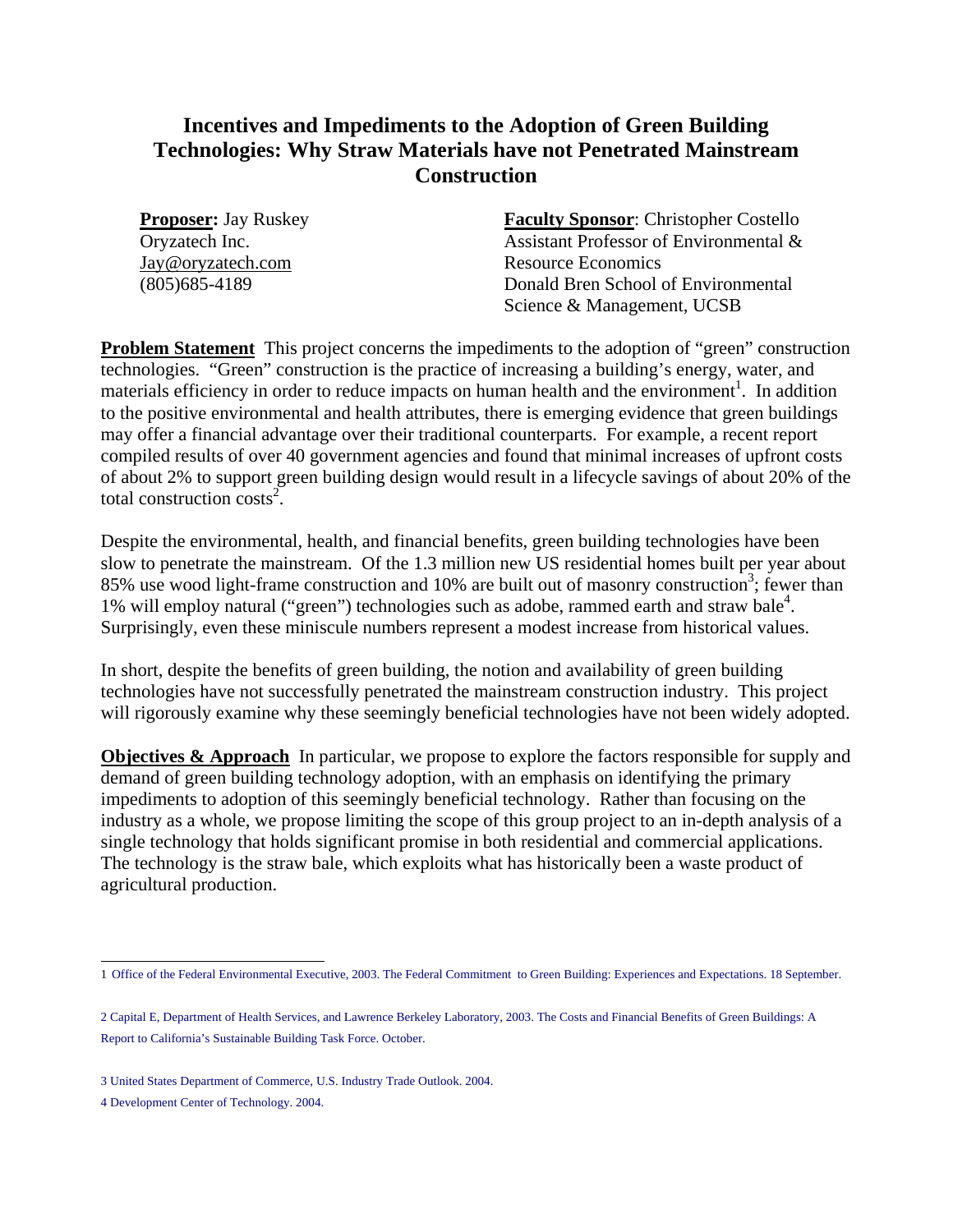## **Incentives and Impediments to the Adoption of Green Building Technologies: Why Straw Materials have not Penetrated Mainstream Construction**

**Proposer:** Jay Ruskey Oryzatech Inc. Jay@oryzatech.com (805)685-4189

**Faculty Sponsor**: Christopher Costello Assistant Professor of Environmental & Resource Economics Donald Bren School of Environmental Science & Management, UCSB

**Problem Statement** This project concerns the impediments to the adoption of "green" construction technologies. "Green" construction is the practice of increasing a building's energy, water, and materials efficiency in order to reduce impacts on human health and the environment<sup>[1](#page-0-0)</sup>. In addition to the positive environmental and health attributes, there is emerging evidence that green buildings may offer a financial advantage over their traditional counterparts. For example, a recent report compiled results of over 40 government agencies and found that minimal increases of upfront costs of about 2% to support green building design would result in a lifecycle savings of about 20% of the total construction  $\cos^2$  $\cos^2$ .

Despite the environmental, health, and financial benefits, green building technologies have been slow to penetrate the mainstream. Of the 1.3 million new US residential homes built per year about 85% use wood light-frame construction and 10% are built out of masonry construction<sup>[3](#page-0-2)</sup>; fewer than 1% will employ natural ("green") technologies such as adobe, rammed earth and straw bale<sup>[4](#page-0-3)</sup>. Surprisingly, even these miniscule numbers represent a modest increase from historical values.

In short, despite the benefits of green building, the notion and availability of green building technologies have not successfully penetrated the mainstream construction industry. This project will rigorously examine why these seemingly beneficial technologies have not been widely adopted.

**Objectives & Approach** In particular, we propose to explore the factors responsible for supply and demand of green building technology adoption, with an emphasis on identifying the primary impediments to adoption of this seemingly beneficial technology. Rather than focusing on the industry as a whole, we propose limiting the scope of this group project to an in-depth analysis of a single technology that holds significant promise in both residential and commercial applications. The technology is the straw bale, which exploits what has historically been a waste product of agricultural production.

<span id="page-0-0"></span> 1 Office of the Federal Environmental Executive, 2003. The Federal Commitment to Green Building: Experiences and Expectations. 18 September.

<span id="page-0-1"></span><sup>2</sup> Capital E, Department of Health Services, and Lawrence Berkeley Laboratory, 2003. The Costs and Financial Benefits of Green Buildings: A Report to California's Sustainable Building Task Force. October.

<span id="page-0-2"></span><sup>3</sup> United States Department of Commerce, U.S. Industry Trade Outlook. 2004.

<span id="page-0-3"></span><sup>4</sup> Development Center of Technology. 2004.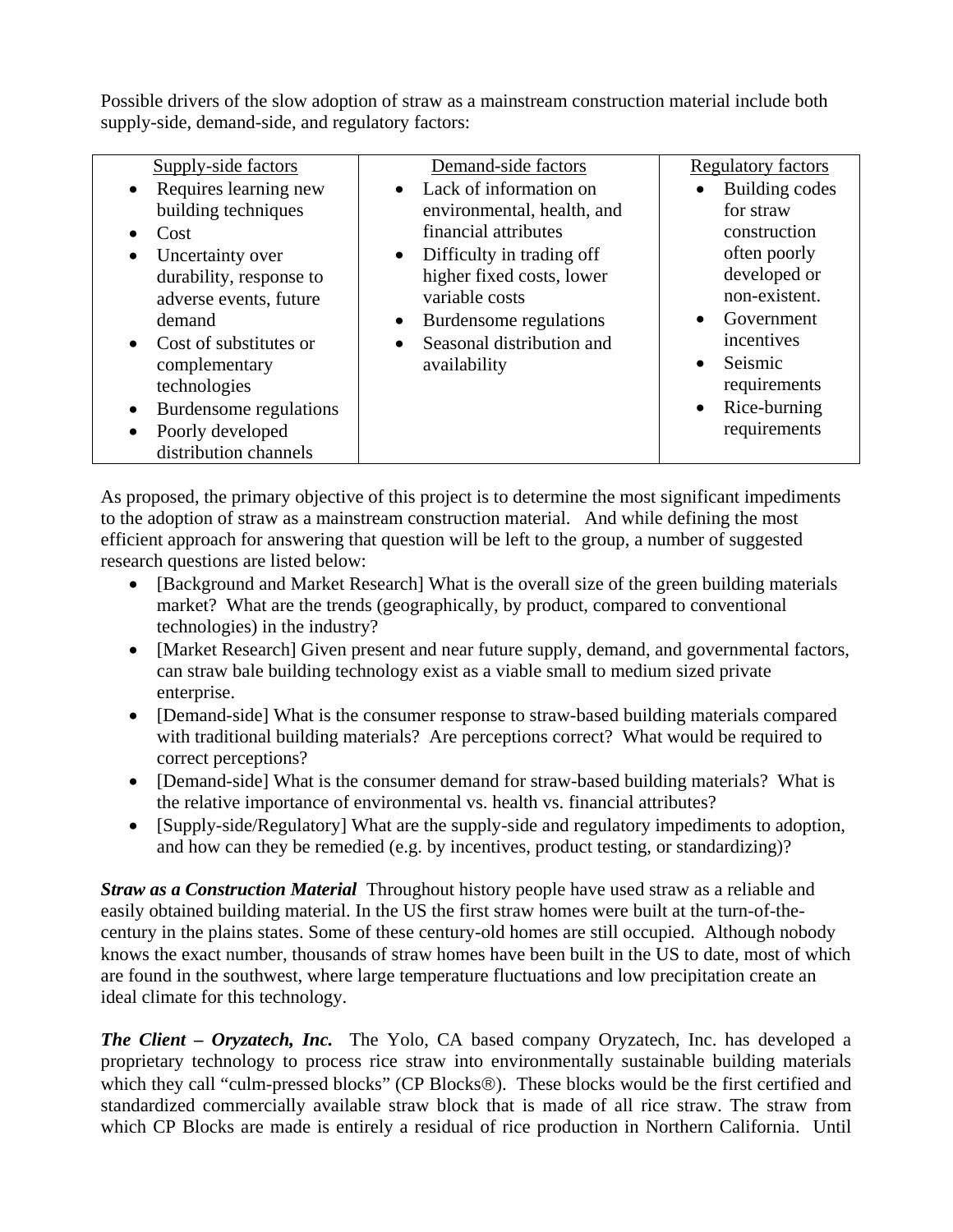Possible drivers of the slow adoption of straw as a mainstream construction material include both supply-side, demand-side, and regulatory factors:

| Supply-side factors<br>• Requires learning new<br>building techniques<br>Cost<br>Uncertainty over<br>durability, response to<br>adverse events, future<br>demand<br>• Cost of substitutes or<br>complementary<br>technologies<br>Burdensome regulations | Demand-side factors<br>• Lack of information on<br>environmental, health, and<br>financial attributes<br>• Difficulty in trading off<br>higher fixed costs, lower<br>variable costs<br>Burdensome regulations<br>$\bullet$<br>Seasonal distribution and<br>$\bullet$<br>availability | <b>Regulatory factors</b><br>Building codes<br>for straw<br>construction<br>often poorly<br>developed or<br>non-existent.<br>Government<br>incentives<br>Seismic<br>requirements<br>Rice-burning |
|---------------------------------------------------------------------------------------------------------------------------------------------------------------------------------------------------------------------------------------------------------|--------------------------------------------------------------------------------------------------------------------------------------------------------------------------------------------------------------------------------------------------------------------------------------|--------------------------------------------------------------------------------------------------------------------------------------------------------------------------------------------------|
| Poorly developed                                                                                                                                                                                                                                        |                                                                                                                                                                                                                                                                                      | requirements                                                                                                                                                                                     |
| distribution channels                                                                                                                                                                                                                                   |                                                                                                                                                                                                                                                                                      |                                                                                                                                                                                                  |

As proposed, the primary objective of this project is to determine the most significant impediments to the adoption of straw as a mainstream construction material. And while defining the most efficient approach for answering that question will be left to the group, a number of suggested research questions are listed below:

- [Background and Market Research] What is the overall size of the green building materials market? What are the trends (geographically, by product, compared to conventional technologies) in the industry?
- [Market Research] Given present and near future supply, demand, and governmental factors, can straw bale building technology exist as a viable small to medium sized private enterprise.
- [Demand-side] What is the consumer response to straw-based building materials compared with traditional building materials? Are perceptions correct? What would be required to correct perceptions?
- [Demand-side] What is the consumer demand for straw-based building materials? What is the relative importance of environmental vs. health vs. financial attributes?
- [Supply-side/Regulatory] What are the supply-side and regulatory impediments to adoption, and how can they be remedied (e.g. by incentives, product testing, or standardizing)?

*Straw as a Construction Material* Throughout history people have used straw as a reliable and easily obtained building material. In the US the first straw homes were built at the turn-of-thecentury in the plains states. Some of these century-old homes are still occupied. Although nobody knows the exact number, thousands of straw homes have been built in the US to date, most of which are found in the southwest, where large temperature fluctuations and low precipitation create an ideal climate for this technology.

*The Client – Oryzatech, Inc.* The Yolo, CA based company Oryzatech, Inc. has developed a proprietary technology to process rice straw into environmentally sustainable building materials which they call "culm-pressed blocks" (CP Blocks®). These blocks would be the first certified and standardized commercially available straw block that is made of all rice straw. The straw from which CP Blocks are made is entirely a residual of rice production in Northern California. Until